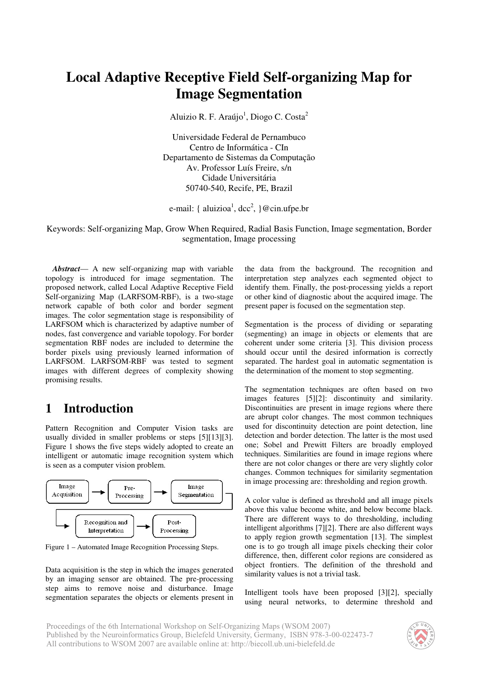# **Local Adaptive Receptive Field Self-organizing Map for Image Segmentation**

Aluizio R. F. Araújo<sup>1</sup>, Diogo C. Costa<sup>2</sup>

Universidade Federal de Pernambuco Centro de Informática - CIn Departamento de Sistemas da Computação Av. Professor Luís Freire, s/n Cidade Universitária 50740-540, Recife, PE, Brazil

e-mail: { aluizioa<sup>1</sup>, dcc<sup>2</sup>, }@cin.ufpe.br

Keywords: Self-organizing Map, Grow When Required, Radial Basis Function, Image segmentation, Border segmentation, Image processing

*Abstract*— A new self-organizing map with variable topology is introduced for image segmentation. The proposed network, called Local Adaptive Receptive Field Self-organizing Map (LARFSOM-RBF), is a two-stage network capable of both color and border segment images. The color segmentation stage is responsibility of LARFSOM which is characterized by adaptive number of nodes, fast convergence and variable topology. For border segmentation RBF nodes are included to determine the border pixels using previously learned information of LARFSOM. LARFSOM-RBF was tested to segment images with different degrees of complexity showing promising results.

## **1 Introduction**

Pattern Recognition and Computer Vision tasks are usually divided in smaller problems or steps [5][13][3]. Figure 1 shows the five steps widely adopted to create an intelligent or automatic image recognition system which is seen as a computer vision problem.



Figure 1 – Automated Image Recognition Processing Steps.

Data acquisition is the step in which the images generated by an imaging sensor are obtained. The pre-processing step aims to remove noise and disturbance. Image segmentation separates the objects or elements present in

the data from the background. The recognition and interpretation step analyzes each segmented object to identify them. Finally, the post-processing yields a report or other kind of diagnostic about the acquired image. The present paper is focused on the segmentation step.

Segmentation is the process of dividing or separating (segmenting) an image in objects or elements that are coherent under some criteria [3]. This division process should occur until the desired information is correctly separated. The hardest goal in automatic segmentation is the determination of the moment to stop segmenting.

The segmentation techniques are often based on two images features [5][2]: discontinuity and similarity. Discontinuities are present in image regions where there are abrupt color changes. The most common techniques used for discontinuity detection are point detection, line detection and border detection. The latter is the most used one; Sobel and Prewitt Filters are broadly employed techniques. Similarities are found in image regions where there are not color changes or there are very slightly color changes. Common techniques for similarity segmentation in image processing are: thresholding and region growth.

A color value is defined as threshold and all image pixels above this value become white, and below become black. There are different ways to do thresholding, including intelligent algorithms [7][2]. There are also different ways to apply region growth segmentation [13]. The simplest one is to go trough all image pixels checking their color difference, then, different color regions are considered as object frontiers. The definition of the threshold and similarity values is not a trivial task.

Intelligent tools have been proposed [3][2], specially using neural networks, to determine threshold and

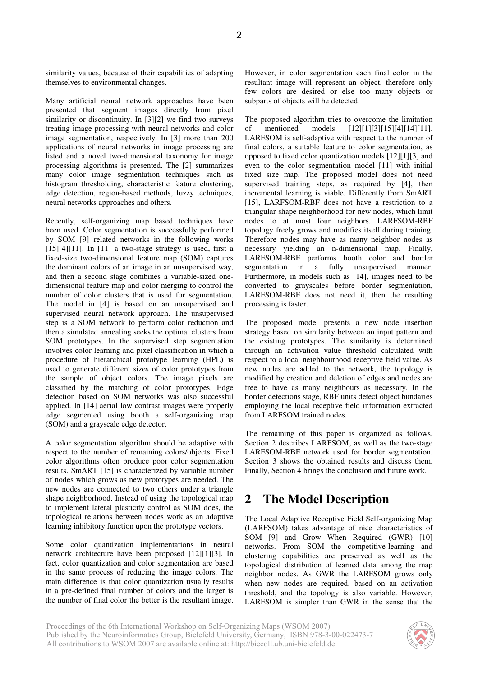similarity values, because of their capabilities of adapting themselves to environmental changes.

Many artificial neural network approaches have been presented that segment images directly from pixel similarity or discontinuity. In [3][2] we find two surveys treating image processing with neural networks and color image segmentation, respectively. In [3] more than 200 applications of neural networks in image processing are listed and a novel two-dimensional taxonomy for image processing algorithms is presented. The [2] summarizes many color image segmentation techniques such as histogram thresholding, characteristic feature clustering, edge detection, region-based methods, fuzzy techniques, neural networks approaches and others.

Recently, self-organizing map based techniques have been used. Color segmentation is successfully performed by SOM [9] related networks in the following works  $[15][4][11]$ . In  $[11]$  a two-stage strategy is used, first a fixed-size two-dimensional feature map (SOM) captures the dominant colors of an image in an unsupervised way, and then a second stage combines a variable-sized onedimensional feature map and color merging to control the number of color clusters that is used for segmentation. The model in [4] is based on an unsupervised and supervised neural network approach. The unsupervised step is a SOM network to perform color reduction and then a simulated annealing seeks the optimal clusters from SOM prototypes. In the supervised step segmentation involves color learning and pixel classification in which a procedure of hierarchical prototype learning (HPL) is used to generate different sizes of color prototypes from the sample of object colors. The image pixels are classified by the matching of color prototypes. Edge detection based on SOM networks was also successful applied. In [14] aerial low contrast images were properly edge segmented using booth a self-organizing map (SOM) and a grayscale edge detector.

A color segmentation algorithm should be adaptive with respect to the number of remaining colors/objects. Fixed color algorithms often produce poor color segmentation results. SmART [15] is characterized by variable number of nodes which grows as new prototypes are needed. The new nodes are connected to two others under a triangle shape neighborhood. Instead of using the topological map to implement lateral plasticity control as SOM does, the topological relations between nodes work as an adaptive learning inhibitory function upon the prototype vectors.

Some color quantization implementations in neural network architecture have been proposed [12][1][3]. In fact, color quantization and color segmentation are based in the same process of reducing the image colors. The main difference is that color quantization usually results in a pre-defined final number of colors and the larger is the number of final color the better is the resultant image.

However, in color segmentation each final color in the resultant image will represent an object, therefore only few colors are desired or else too many objects or subparts of objects will be detected.

The proposed algorithm tries to overcome the limitation of mentioned models [12][1][3][15][4][14][11]. LARFSOM is self-adaptive with respect to the number of final colors, a suitable feature to color segmentation, as opposed to fixed color quantization models [12][1][3] and even to the color segmentation model [11] with initial fixed size map. The proposed model does not need supervised training steps, as required by [4], then incremental learning is viable. Differently from SmART [15], LARFSOM-RBF does not have a restriction to a triangular shape neighborhood for new nodes, which limit nodes to at most four neighbors. LARFSOM-RBF topology freely grows and modifies itself during training. Therefore nodes may have as many neighbor nodes as necessary yielding an n-dimensional map. Finally, LARFSOM-RBF performs booth color and border segmentation in a fully unsupervised manner. Furthermore, in models such as [14], images need to be converted to grayscales before border segmentation, LARFSOM-RBF does not need it, then the resulting processing is faster.

The proposed model presents a new node insertion strategy based on similarity between an input pattern and the existing prototypes. The similarity is determined through an activation value threshold calculated with respect to a local neighbourhood receptive field value. As new nodes are added to the network, the topology is modified by creation and deletion of edges and nodes are free to have as many neighbours as necessary. In the border detections stage, RBF units detect object bundaries employing the local receptive field information extracted from LARFSOM trained nodes.

The remaining of this paper is organized as follows. Section 2 describes LARFSOM, as well as the two-stage LARFSOM-RBF network used for border segmentation. Section 3 shows the obtained results and discuss them. Finally, Section 4 brings the conclusion and future work.

## **2 The Model Description**

The Local Adaptive Receptive Field Self-organizing Map (LARFSOM) takes advantage of nice characteristics of SOM [9] and Grow When Required (GWR) [10] networks. From SOM the competitive-learning and clustering capabilities are preserved as well as the topological distribution of learned data among the map neighbor nodes. As GWR the LARFSOM grows only when new nodes are required, based on an activation threshold, and the topology is also variable. However, LARFSOM is simpler than GWR in the sense that the

Proceedings of the 6th International Workshop on Self-Organizing Maps (WSOM 2007) Published by the Neuroinformatics Group, Bielefeld University, Germany, ISBN 978-3-00-022473-7 All contributions to WSOM 2007 are available online at: http://biecoll.ub.uni-bielefeld.de

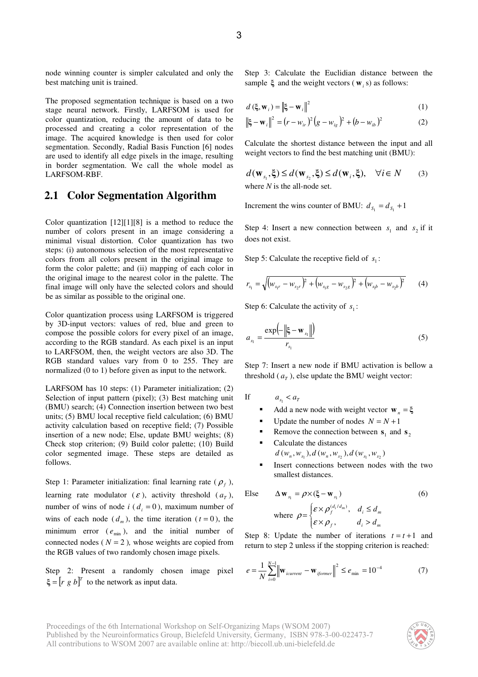node winning counter is simpler calculated and only the best matching unit is trained.

The proposed segmentation technique is based on a two stage neural network. Firstly, LARFSOM is used for color quantization, reducing the amount of data to be processed and creating a color representation of the image. The acquired knowledge is then used for color segmentation. Secondly, Radial Basis Function [6] nodes are used to identify all edge pixels in the image, resulting in border segmentation. We call the whole model as LARFSOM-RBF.

#### **2.1 Color Segmentation Algorithm**

Color quantization [12][1][8] is a method to reduce the number of colors present in an image considering a minimal visual distortion. Color quantization has two steps: (i) autonomous selection of the most representative colors from all colors present in the original image to form the color palette; and (ii) mapping of each color in the original image to the nearest color in the palette. The final image will only have the selected colors and should be as similar as possible to the original one.

Color quantization process using LARFSOM is triggered by 3D-input vectors: values of red, blue and green to compose the possible colors for every pixel of an image, according to the RGB standard. As each pixel is an input to LARFSOM, then, the weight vectors are also 3D. The RGB standard values vary from 0 to 255. They are normalized (0 to 1) before given as input to the network.

LARFSOM has 10 steps: (1) Parameter initialization; (2) Selection of input pattern (pixel); (3) Best matching unit (BMU) search; (4) Connection insertion between two best units; (5) BMU local receptive field calculation; (6) BMU activity calculation based on receptive field; (7) Possible insertion of a new node; Else, update BMU weights; (8) Check stop criterion; (9) Build color palette; (10) Build color segmented image. These steps are detailed as follows.

Step 1: Parameter initialization: final learning rate  $(\rho_f)$ , learning rate modulator ( $\varepsilon$ ), activity threshold ( $a<sub>T</sub>$ ), number of wins of node  $i$  ( $d_i = 0$ ), maximum number of wins of each node  $(d_m)$ , the time iteration  $(t=0)$ , the minimum error  $(e_{min})$ , and the initial number of connected nodes ( $N = 2$ ), whose weights are copied from the RGB values of two randomly chosen image pixels.

Step 2: Present a randomly chosen image pixel  $\xi = [r \ g \ b]^T$  to the network as input data.

Step 3: Calculate the Euclidian distance between the sample  $\xi$  and the weight vectors ( $\mathbf{w}_i$  s) as follows:

$$
d\left(\xi, \mathbf{w}_i\right) = \left\|\xi - \mathbf{w}_i\right\|^2\tag{1}
$$

$$
\|\xi - \mathbf{w}_i\|^2 = (r - w_{ir})^2 (g - w_{ig})^2 + (b - w_{ib})^2
$$
 (2)

Calculate the shortest distance between the input and all weight vectors to find the best matching unit (BMU):

$$
d(\mathbf{W}_{s_1}, \xi) \le d(\mathbf{W}_{s_2}, \xi) \le d(\mathbf{W}_i, \xi), \quad \forall i \in N \tag{3}
$$
  
where *N* is the all-node set

where *N* is the all-node set.

Increment the wins counter of BMU:  $d_{S_1} = d_{S_1} + 1$ 

Step 4: Insert a new connection between  $s_1$  and  $s_2$  if it does not exist.

Step 5: Calculate the receptive field of  $s_1$ :

$$
r_{s_1} = \sqrt{(w_{s_1r} - w_{s_2r})^2 + (w_{s_1g} - w_{s_2g})^2 + (w_{s_1b} - w_{s_2b})^2}
$$
 (4)

Step 6: Calculate the activity of  $s_1$ :

$$
a_{s_1} = \frac{\exp\left(-\left\|\xi - \mathbf{w}_{s_1}\right\| \right)}{r_{s_1}} \tag{5}
$$

Step 7: Insert a new node if BMU activation is bellow a threshold  $(a_T)$ , else update the BMU weight vector:

If  $a_{s_1} < a_{t_1}$ 

- Add a new node with weight vector  $\mathbf{w}_n = \xi$
- Update the number of nodes  $N = N + 1$
- Remove the connection between  $s_1$  and  $s_2$
- Calculate the distances  $d(w_n, w_{s_1}), d(w_n, w_{s_2}), d(w_{s_1}, w_{s_2})$
- Insert connections between nodes with the two smallest distances.

Else

\n
$$
\Delta \mathbf{w}_{s_1} = \rho \times (\xi - \mathbf{w}_{s_1})
$$
\nwhere

\n
$$
\rho = \begin{cases}\n\varepsilon \times \rho_j^{(d_i/d_m)}, & d_i \leq d_m \\
\varepsilon \times \rho_j, & d_i > d_m\n\end{cases}
$$
\n(6)

Step 8: Update the number of iterations  $t = t + 1$  and return to step 2 unless if the stopping criterion is reached:

$$
e = \frac{1}{N} \sum_{i=0}^{N-1} \left\| \mathbf{w}_{icurrent} - \mathbf{w}_{ijomer} \right\|^2 \le e_{\min} = 10^{-4}
$$
 (7)

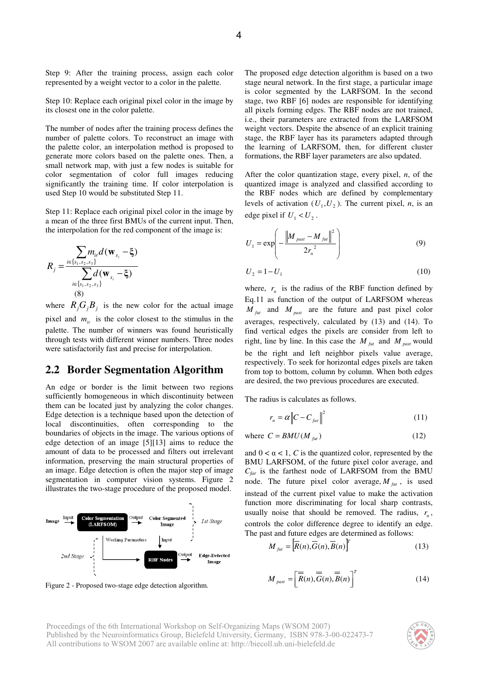Step 9: After the training process, assign each color represented by a weight vector to a color in the palette.

Step 10: Replace each original pixel color in the image by its closest one in the color palette.

The number of nodes after the training process defines the number of palette colors. To reconstruct an image with the palette color, an interpolation method is proposed to generate more colors based on the palette ones. Then, a small network map, with just a few nodes is suitable for color segmentation of color full images reducing significantly the training time. If color interpolation is used Step 10 would be substituted Step 11.

Step 11: Replace each original pixel color in the image by a mean of the three first BMUs of the current input. Then, the interpolation for the red component of the image is:

$$
R_{j} = \frac{\sum_{i \in \{s_{1}, s_{2}, s_{3}\}} m_{ir} d(\mathbf{w}_{s_{i}} - \xi)}{\sum_{i \in \{s_{1}, s_{2}, s_{3}\}} d(\mathbf{w}_{s_{i}} - \xi)}
$$
\n(8)

where  $R_j G_j B_j$  is the new color for the actual image pixel and  $m_i$  is the color closest to the stimulus in the palette. The number of winners was found heuristically through tests with different winner numbers. Three nodes were satisfactorily fast and precise for interpolation.

#### **2.2 Border Segmentation Algorithm**

An edge or border is the limit between two regions sufficiently homogeneous in which discontinuity between them can be located just by analyzing the color changes. Edge detection is a technique based upon the detection of local discontinuities, often corresponding to the boundaries of objects in the image. The various options of edge detection of an image [5][13] aims to reduce the amount of data to be processed and filters out irrelevant information, preserving the main structural properties of an image. Edge detection is often the major step of image segmentation in computer vision systems. Figure 2 illustrates the two-stage procedure of the proposed model.



Figure 2 - Proposed two-stage edge detection algorithm.

The proposed edge detection algorithm is based on a two stage neural network. In the first stage, a particular image is color segmented by the LARFSOM. In the second stage, two RBF [6] nodes are responsible for identifying all pixels forming edges. The RBF nodes are not trained, i.e., their parameters are extracted from the LARFSOM weight vectors. Despite the absence of an explicit training stage, the RBF layer has its parameters adapted through

After the color quantization stage, every pixel, *n*, of the quantized image is analyzed and classified according to the RBF nodes which are defined by complementary levels of activation  $(U_1, U_2)$ . The current pixel, *n*, is an edge pixel if  $U_1 < U_2$ .

the learning of LARFSOM, then, for different cluster formations, the RBF layer parameters are also updated.

$$
U_1 = \exp\left(-\frac{\left\|M_{\text{past}} - M_{\text{ful}}\right\|^2}{2r_n^2}\right) \tag{9}
$$

$$
U_2 = 1 - U_1 \tag{10}
$$

where,  $r_n$  is the radius of the RBF function defined by Eq.11 as function of the output of LARFSOM whereas  $M_{\text{fut}}$  and  $M_{\text{past}}$  are the future and past pixel color averages, respectively, calculated by (13) and (14). To find vertical edges the pixels are consider from left to right, line by line. In this case the  $M_{\text{fut}}$  and  $M_{\text{past}}$  would be the right and left neighbor pixels value average, respectively. To seek for horizontal edges pixels are taken from top to bottom, column by column. When both edges are desired, the two previous procedures are executed.

The radius is calculates as follows.

$$
r_n = \alpha \left\| C - C_{far} \right\|^2 \tag{11}
$$

where 
$$
C = BMU(M_{\text{fit}})
$$
 (12)

and  $0 < \alpha < 1$ , *C* is the quantized color, represented by the BMU LARFSOM, of the future pixel color average, and *Cfar* is the farthest node of LARFSOM from the BMU node. The future pixel color average,  $M_{fut}$ , is used instead of the current pixel value to make the activation function more discriminating for local sharp contrasts, usually noise that should be removed. The radius,  $r_n$ , controls the color difference degree to identify an edge. The past and future edges are determined as follows:

$$
M_{\text{flat}} = \left[ \overline{R}(n), \overline{G}(n), \overline{B}(n) \right]^T
$$
 (13)

$$
M_{\text{past}} = \left[\overline{\overline{R}}(n), \overline{\overline{G}}(n), \overline{\overline{B}}(n)\right]^T
$$
 (14)

Proceedings of the 6th International Workshop on Self-Organizing Maps (WSOM 2007) Published by the Neuroinformatics Group, Bielefeld University, Germany, ISBN 978-3-00-022473-7 All contributions to WSOM 2007 are available online at: http://biecoll.ub.uni-bielefeld.de

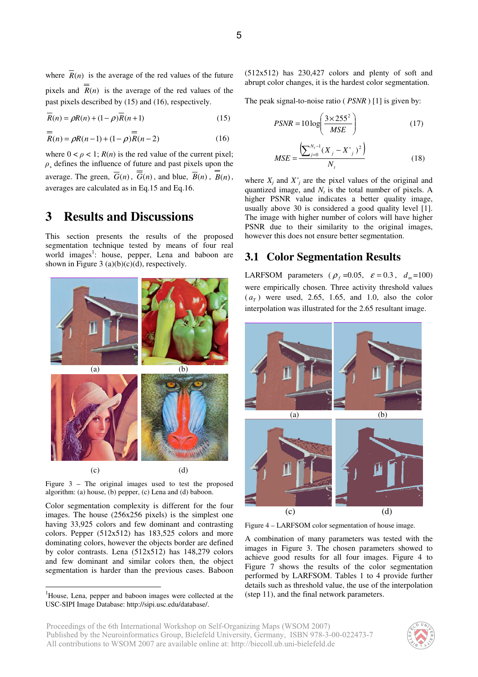where  $\overline{R}(n)$  is the average of the red values of the future pixels and  $\overline{R}(n)$  is the average of the red values of the past pixels described by (15) and (16), respectively.

$$
\overline{R}(n) = \rho R(n) + (1 - \rho)\overline{R}(n+1)
$$
\n(15)

$$
\overline{R}(n) = \rho R(n-1) + (1 - \rho) \overline{R}(n-2)
$$
 (16)

where  $0 < \rho < 1$ ;  $R(n)$  is the red value of the current pixel;  $\rho$ , defines the influence of future and past pixels upon the average. The green,  $\overline{G}(n)$ ,  $\overline{G}(n)$ , and blue,  $\overline{B}(n)$ ,  $B(n)$ , averages are calculated as in Eq.15 and Eq.16.

### **3 Results and Discussions**

This section presents the results of the proposed segmentation technique tested by means of four real world images<sup>1</sup>: house, pepper, Lena and baboon are shown in Figure 3 (a)(b)(c)(d), respectively.



Figure 3 – The original images used to test the proposed algorithm: (a) house, (b) pepper, (c) Lena and (d) baboon.

Color segmentation complexity is different for the four images. The house (256x256 pixels) is the simplest one having 33,925 colors and few dominant and contrasting colors. Pepper (512x512) has 183,525 colors and more dominating colors, however the objects border are defined by color contrasts. Lena (512x512) has 148,279 colors and few dominant and similar colors then, the object segmentation is harder than the previous cases. Baboon (512x512) has 230,427 colors and plenty of soft and abrupt color changes, it is the hardest color segmentation.

The peak signal-to-noise ratio ( *PSNR* ) [1] is given by:

$$
PSNR = 10 \log \left( \frac{3 \times 255^2}{MSE} \right) \tag{17}
$$

$$
MSE = \frac{\left(\sum_{j=0}^{N_t - 1} (X_j - X')^2\right)}{N_t}
$$
\n(18)

where  $X_i$  and  $X'_i$  are the pixel values of the original and quantized image, and  $N_t$  is the total number of pixels. A higher PSNR value indicates a better quality image, usually above 30 is considered a good quality level [1]. The image with higher number of colors will have higher PSNR due to their similarity to the original images, however this does not ensure better segmentation.

#### **3.1 Color Segmentation Results**

LARFSOM parameters ( $\rho_f$  =0.05,  $\varepsilon = 0.3$ ,  $d_m$ =100) were empirically chosen. Three activity threshold values  $(a<sub>T</sub>)$  were used, 2.65, 1.65, and 1.0, also the color interpolation was illustrated for the 2.65 resultant image.



Figure 4 – LARFSOM color segmentation of house image.

A combination of many parameters was tested with the images in Figure 3. The chosen parameters showed to achieve good results for all four images. Figure 4 to Figure 7 shows the results of the color segmentation performed by LARFSOM. Tables 1 to 4 provide further details such as threshold value, the use of the interpolation (step 11), and the final network parameters.



<sup>&</sup>lt;sup>1</sup>House, Lena, pepper and baboon images were collected at the USC-SIPI Image Database: http://sipi.usc.edu/database/.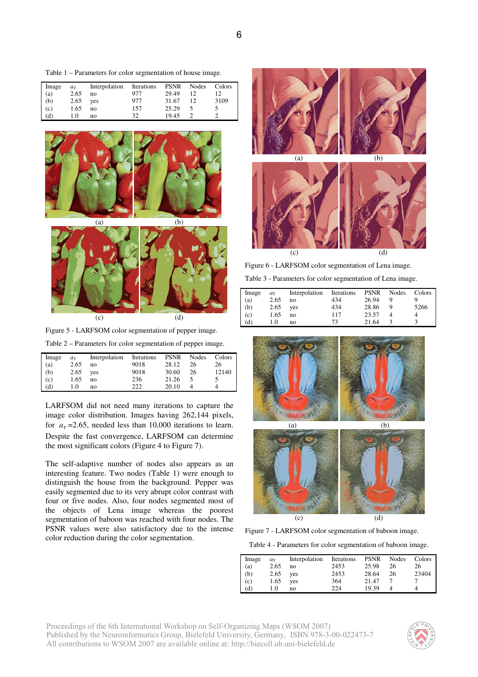Table 1 – Parameters for color segmentation of house image.

| Image | $a_T$ | Interpolation | Iterations | <b>PSNR</b> | Nodes | Colors |
|-------|-------|---------------|------------|-------------|-------|--------|
| (a)   | 2.65  | no            | 977        | 29.49       | 12    |        |
| (b)   | 2.65  | ves           | 977        | 31.67       | 12    | 3109   |
| (c)   | 1.65  | no            | 157        | 25.29       |       |        |
| (d)   | 1.0   | no            | 32         | 19.45       |       |        |



Figure 5 - LARFSOM color segmentation of pepper image.

Table 2 – Parameters for color segmentation of pepper image.

| Image | $a_T$ | Interpolation | Iterations | <b>PSNR</b> | Nodes | Colors |
|-------|-------|---------------|------------|-------------|-------|--------|
| (a)   | 2.65  | no            | 9018       | 28.12       | 26    | 26     |
| (b)   | 2.65  | ves           | 9018       | 30.60       | 26    | 12140  |
| (c)   | 1.65  | no            | 236        | 21.26       |       |        |
| (d)   | 1.0   | no            | 222        | 20.10       |       |        |

LARFSOM did not need many iterations to capture the image color distribution. Images having 262,144 pixels, for  $a_T = 2.65$ , needed less than 10,000 iterations to learn. Despite the fast convergence, LARFSOM can determine the most significant colors (Figure 4 to Figure 7).

The self-adaptive number of nodes also appears as an interesting feature. Two nodes (Table 1) were enough to distinguish the house from the background. Pepper was easily segmented due to its very abrupt color contrast with four or five nodes. Also, four nodes segmented most of the objects of Lena image whereas the poorest segmentation of baboon was reached with four nodes. The PSNR values were also satisfactory due to the intense color reduction during the color segmentation.



Figure 6 - LARFSOM color segmentation of Lena image.

| Table 3 - Parameters for color segmentation of Lena image. |  |
|------------------------------------------------------------|--|
|                                                            |  |

| Image                    | $a_T$ | Interpolation | Iterations | <b>PSNR</b> | Nodes | Colors |
|--------------------------|-------|---------------|------------|-------------|-------|--------|
|                          | 2.65  | no            | 434        | 26.94       |       |        |
| (a)<br>(b)<br>(c)<br>(d) | 2.65  | yes           | 434        | 28.86       | -9    | 5266   |
|                          | 1.65  | no            | 117        | 23.57       |       |        |
|                          | 1.0   | no            | 73         | 21.64       |       |        |



Figure 7 - LARFSOM color segmentation of baboon image.

Table 4 - Parameters for color segmentation of baboon image.

| Image          | $a_T$ | Interpolation | Iterations | <b>PSNR</b> | Nodes | Colors |
|----------------|-------|---------------|------------|-------------|-------|--------|
| (a)            | 2.65  | no            | 2453       | 25.98       | 26    | 26     |
|                | 2.65  | yes           | 2453       | 28.64       | 26    | 23404  |
| $(b)$<br>$(c)$ | 1.65  | ves           | 364        | 21.47       |       |        |
| (d)            | 1.0   | no            | 224        | 19.39       |       |        |

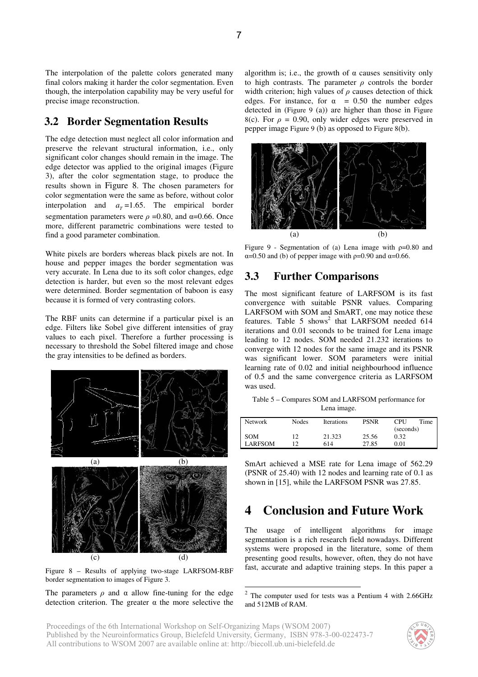The interpolation of the palette colors generated many final colors making it harder the color segmentation. Even though, the interpolation capability may be very useful for precise image reconstruction.

#### **3.2 Border Segmentation Results**

The edge detection must neglect all color information and preserve the relevant structural information, i.e., only significant color changes should remain in the image. The edge detector was applied to the original images (Figure 3), after the color segmentation stage, to produce the results shown in Figure 8. The chosen parameters for color segmentation were the same as before, without color interpolation and  $a_T = 1.65$ . The empirical border segmentation parameters were  $\rho = 0.80$ , and  $\alpha = 0.66$ . Once more, different parametric combinations were tested to find a good parameter combination.

White pixels are borders whereas black pixels are not. In house and pepper images the border segmentation was very accurate. In Lena due to its soft color changes, edge detection is harder, but even so the most relevant edges were determined. Border segmentation of baboon is easy because it is formed of very contrasting colors.

The RBF units can determine if a particular pixel is an edge. Filters like Sobel give different intensities of gray values to each pixel. Therefore a further processing is necessary to threshold the Sobel filtered image and chose the gray intensities to be defined as borders.



Figure 8 – Results of applying two-stage LARFSOM-RBF border segmentation to images of Figure 3.

The parameters  $\rho$  and  $\alpha$  allow fine-tuning for the edge detection criterion. The greater  $\alpha$  the more selective the

algorithm is; i.e., the growth of  $\alpha$  causes sensitivity only to high contrasts. The parameter  $\rho$  controls the border width criterion; high values of  $\rho$  causes detection of thick edges. For instance, for  $\alpha$  = 0.50 the number edges detected in (Figure 9 (a)) are higher than those in Figure 8(c). For  $\rho = 0.90$ , only wider edges were preserved in pepper image Figure 9 (b) as opposed to Figure 8(b).



Figure 9 - Segmentation of (a) Lena image with  $p=0.80$  and  $\alpha$ =0.50 and (b) of pepper image with  $\rho$ =0.90 and  $\alpha$ =0.66.

#### **3.3 Further Comparisons**

The most significant feature of LARFSOM is its fast convergence with suitable PSNR values. Comparing LARFSOM with SOM and SmART, one may notice these features. Table 5 shows<sup>2</sup> that LARFSOM needed 614 iterations and 0.01 seconds to be trained for Lena image leading to 12 nodes. SOM needed 21.232 iterations to converge with 12 nodes for the same image and its PSNR was significant lower. SOM parameters were initial learning rate of 0.02 and initial neighbourhood influence of 0.5 and the same convergence criteria as LARFSOM was used.

Table 5 – Compares SOM and LARFSOM performance for Lena image.

| <b>Network</b> | <b>Nodes</b> | <b>Iterations</b> | <b>PSNR</b> | <b>CPU</b>        | Time |
|----------------|--------------|-------------------|-------------|-------------------|------|
| <b>SOM</b>     | 12           | 21.323            | 25.56       | (seconds)<br>0.32 |      |
| LARFSOM        |              | 614               | 27.85       | 0.01              |      |

SmArt achieved a MSE rate for Lena image of 562.29 (PSNR of 25.40) with 12 nodes and learning rate of 0.1 as shown in [15], while the LARFSOM PSNR was 27.85.

### **4 Conclusion and Future Work**

The usage of intelligent algorithms for image segmentation is a rich research field nowadays. Different systems were proposed in the literature, some of them presenting good results, however, often, they do not have fast, accurate and adaptive training steps. In this paper a



 $2$  The computer used for tests was a Pentium 4 with 2.66GHz and 512MB of RAM.